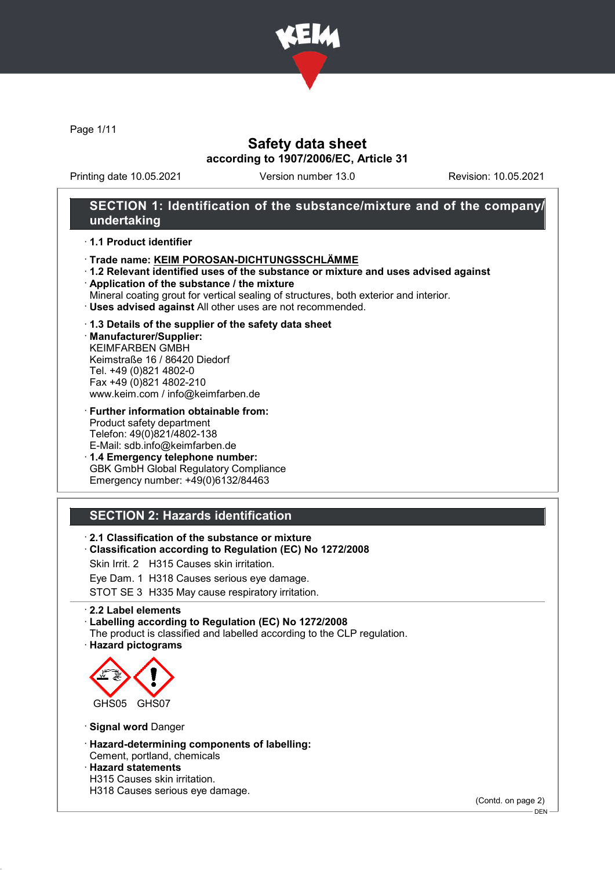

Page 1/11

### Safety data sheet according to 1907/2006/EC, Article 31

Printing date 10.05.2021 Version number 13.0 Revision: 10.05.2021

### SECTION 1: Identification of the substance/mixture and of the company/ undertaking

#### · 1.1 Product identifier

- · Trade name: KEIM POROSAN-DICHTUNGSSCHLÄMME
- · 1.2 Relevant identified uses of the substance or mixture and uses advised against
- · Application of the substance / the mixture
- Mineral coating grout for vertical sealing of structures, both exterior and interior.
- · Uses advised against All other uses are not recommended.

#### · 1.3 Details of the supplier of the safety data sheet

· Manufacturer/Supplier: KEIMFARBEN GMBH Keimstraße 16 / 86420 Diedorf Tel. +49 (0)821 4802-0 Fax +49 (0)821 4802-210 www.keim.com / info@keimfarben.de

· Further information obtainable from: Product safety department Telefon: 49(0)821/4802-138 E-Mail: sdb.info@keimfarben.de

· 1.4 Emergency telephone number: GBK GmbH Global Regulatory Compliance Emergency number: +49(0)6132/84463

## SECTION 2: Hazards identification

· 2.1 Classification of the substance or mixture

· Classification according to Regulation (EC) No 1272/2008

Skin Irrit. 2 H315 Causes skin irritation.

Eye Dam. 1 H318 Causes serious eye damage.

STOT SE 3 H335 May cause respiratory irritation.

#### · 2.2 Label elements

· Labelling according to Regulation (EC) No 1272/2008

The product is classified and labelled according to the CLP regulation.

· Hazard pictograms



· Signal word Danger

- · Hazard-determining components of labelling: Cement, portland, chemicals
- · Hazard statements
- H315 Causes skin irritation.
- H318 Causes serious eye damage.

(Contd. on page 2)

DEN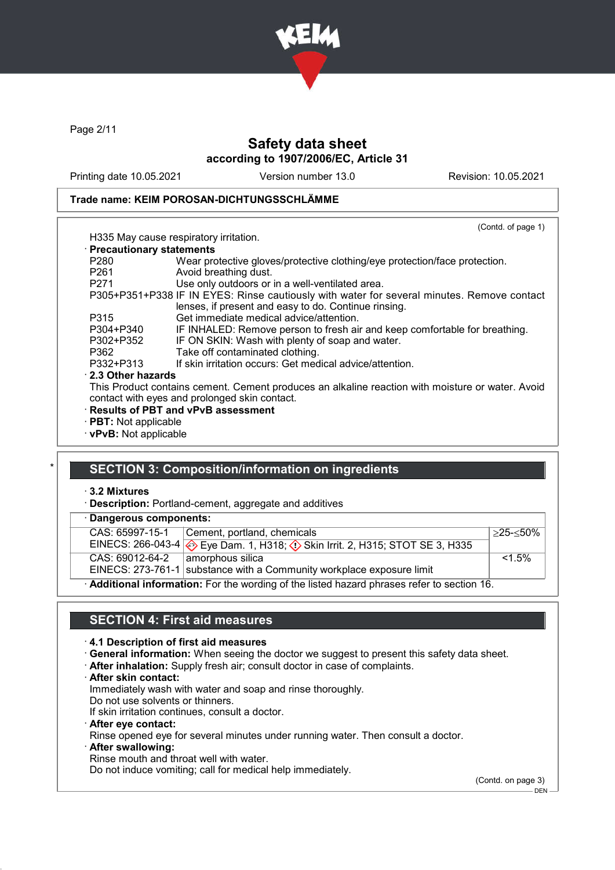

Page 2/11

# Safety data sheet according to 1907/2006/EC, Article 31

Printing date 10.05.2021 Version number 13.0 Revision: 10.05.2021

(Contd. of page 1)

### Trade name: KEIM POROSAN-DICHTUNGSSCHLÄMME

# H335 May cause respiratory irritation.

#### · Precautionary statements

| $\cdot$ Precautionary statements |                                                                                                  |
|----------------------------------|--------------------------------------------------------------------------------------------------|
| P <sub>280</sub>                 | Wear protective gloves/protective clothing/eye protection/face protection.                       |
| P <sub>261</sub>                 | Avoid breathing dust.                                                                            |
| P <sub>271</sub>                 | Use only outdoors or in a well-ventilated area.                                                  |
|                                  | P305+P351+P338 IF IN EYES: Rinse cautiously with water for several minutes. Remove contact       |
|                                  | lenses, if present and easy to do. Continue rinsing.                                             |
| P315                             | Get immediate medical advice/attention.                                                          |
| P304+P340                        | IF INHALED: Remove person to fresh air and keep comfortable for breathing.                       |
| P302+P352                        | IF ON SKIN: Wash with plenty of soap and water.                                                  |
| P362                             | Take off contaminated clothing.                                                                  |
| P332+P313                        | If skin irritation occurs: Get medical advice/attention.                                         |
| 2.3 Other hazards                |                                                                                                  |
|                                  | This Product contains cement. Cement produces an alkaline reaction with moisture or water. Avoid |
|                                  | contact with eyes and prolonged skin contact.                                                    |
|                                  | · Results of PBT and vPvB assessment                                                             |
| · PBT: Not applicable            |                                                                                                  |

· vPvB: Not applicable

### SECTION 3: Composition/information on ingredients

#### · 3.2 Mixtures

· Description: Portland-cement, aggregate and additives

### · Dangerous components:

| CAS: 65997-15-1 | Cement, portland, chemicals                                                                                  | $>25 - 50\%$ |
|-----------------|--------------------------------------------------------------------------------------------------------------|--------------|
|                 | EINECS: 266-043-4 $\Leftrightarrow$ Eye Dam. 1, H318; $\Leftrightarrow$ Skin Irrit. 2, H315; STOT SE 3, H335 |              |
| CAS: 69012-64-2 | amorphous silica                                                                                             | $1.5\%$      |
|                 | EINECS: 273-761-1 substance with a Community workplace exposure limit                                        |              |
|                 | Additional information: For the wording of the listed hazard phrases refer to section 16.                    |              |

### SECTION 4: First aid measures

### · 4.1 Description of first aid measures

- · General information: When seeing the doctor we suggest to present this safety data sheet.
- · After inhalation: Supply fresh air; consult doctor in case of complaints.
- · After skin contact:
- Immediately wash with water and soap and rinse thoroughly.
- Do not use solvents or thinners.
- If skin irritation continues, consult a doctor.
- · After eye contact: Rinse opened eye for several minutes under running water. Then consult a doctor.
- · After swallowing: Rinse mouth and throat well with water.

Do not induce vomiting; call for medical help immediately.

(Contd. on page 3)

 $-$  DEN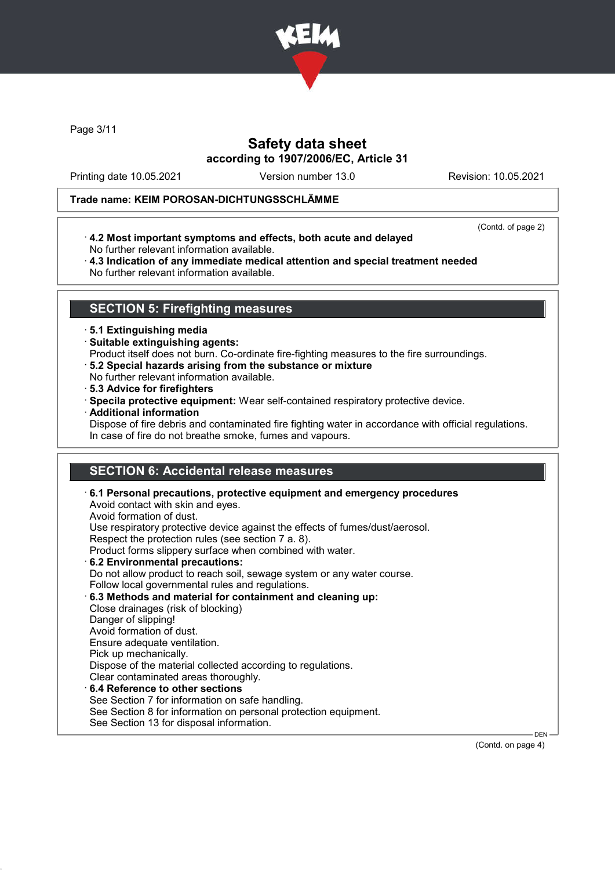

Page 3/11

## Safety data sheet according to 1907/2006/EC, Article 31

Printing date 10.05.2021 Version number 13.0 Revision: 10.05.2021

### Trade name: KEIM POROSAN-DICHTUNGSSCHLÄMME

(Contd. of page 2)

· 4.2 Most important symptoms and effects, both acute and delayed No further relevant information available.

· 4.3 Indication of any immediate medical attention and special treatment needed No further relevant information available.

### SECTION 5: Firefighting measures

#### · 5.1 Extinguishing media

· Suitable extinguishing agents:

Product itself does not burn. Co-ordinate fire-fighting measures to the fire surroundings.

- · 5.2 Special hazards arising from the substance or mixture
- No further relevant information available.
- · 5.3 Advice for firefighters
- · Specila protective equipment: Wear self-contained respiratory protective device.
- · Additional information

Dispose of fire debris and contaminated fire fighting water in accordance with official regulations. In case of fire do not breathe smoke, fumes and vapours.

## SECTION 6: Accidental release measures

· 6.1 Personal precautions, protective equipment and emergency procedures Avoid contact with skin and eyes. Avoid formation of dust. Use respiratory protective device against the effects of fumes/dust/aerosol. Respect the protection rules (see section 7 a. 8). Product forms slippery surface when combined with water. · 6.2 Environmental precautions: Do not allow product to reach soil, sewage system or any water course. Follow local governmental rules and regulations. · 6.3 Methods and material for containment and cleaning up: Close drainages (risk of blocking) Danger of slipping! Avoid formation of dust. Ensure adequate ventilation. Pick up mechanically. Dispose of the material collected according to regulations. Clear contaminated areas thoroughly. 6.4 Reference to other sections See Section 7 for information on safe handling. See Section 8 for information on personal protection equipment. See Section 13 for disposal information. DEN

(Contd. on page 4)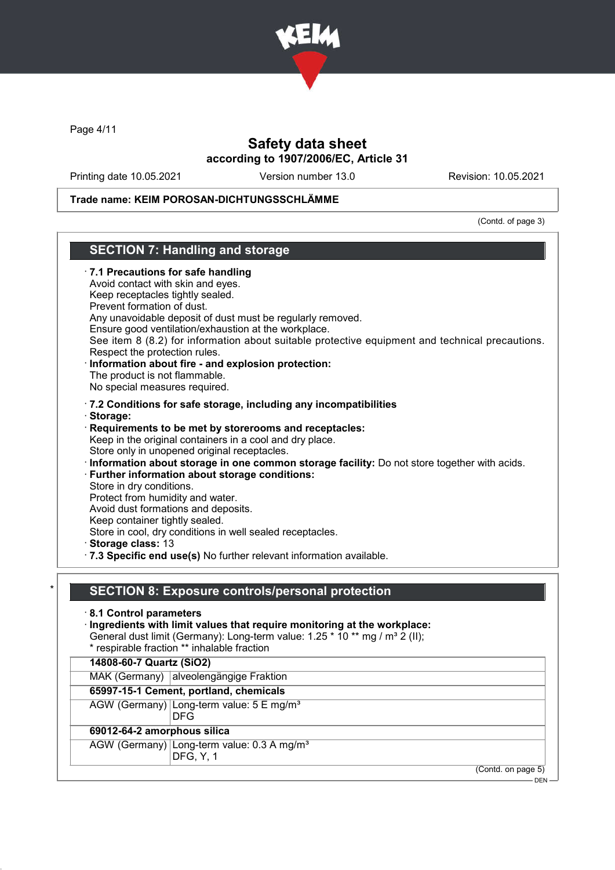

Page 4/11

### Safety data sheet according to 1907/2006/EC, Article 31

Printing date 10.05.2021 Version number 13.0 Revision: 10.05.2021

### Trade name: KEIM POROSAN-DICHTUNGSSCHLÄMME

(Contd. of page 3)

### SECTION 7: Handling and storage · 7.1 Precautions for safe handling Avoid contact with skin and eyes. Keep receptacles tightly sealed. Prevent formation of dust. Any unavoidable deposit of dust must be regularly removed. Ensure good ventilation/exhaustion at the workplace. See item 8 (8.2) for information about suitable protective equipment and technical precautions. Respect the protection rules. · Information about fire - and explosion protection: The product is not flammable. No special measures required. · 7.2 Conditions for safe storage, including any incompatibilities · Storage: · Requirements to be met by storerooms and receptacles: Keep in the original containers in a cool and dry place. Store only in unopened original receptacles. · Information about storage in one common storage facility: Do not store together with acids. · Further information about storage conditions: Store in dry conditions. Protect from humidity and water. Avoid dust formations and deposits. Keep container tightly sealed. Store in cool, dry conditions in well sealed receptacles. · Storage class: 13 · 7.3 Specific end use(s) No further relevant information available. SECTION 8: Exposure controls/personal protection · 8.1 Control parameters · Ingredients with limit values that require monitoring at the workplace: General dust limit (Germany): Long-term value: 1.25 \* 10 \*\* mg / m<sup>3</sup> 2 (II); \* respirable fraction \*\* inhalable fraction 14808-60-7 Quartz (SiO2) MAK (Germany) alveolengängige Fraktion 65997-15-1 Cement, portland, chemicals AGW (Germany) Long-term value: 5 E mg/m<sup>3</sup>

DFG 69012-64-2 amorphous silica AGW (Germany) Long-term value: 0.3 A mg/m<sup>3</sup> DFG, Y, 1

(Contd. on page 5)

DEN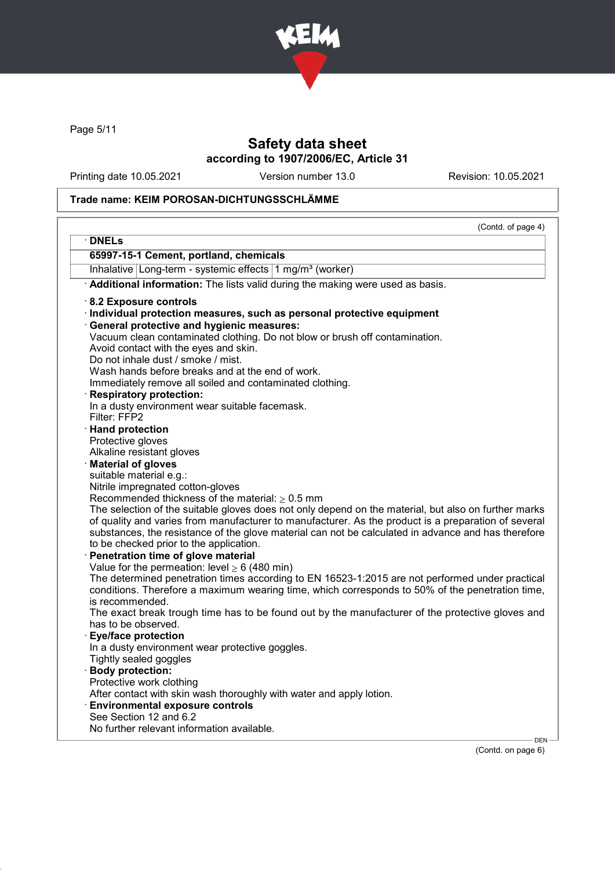

Page 5/11

# Safety data sheet according to 1907/2006/EC, Article 31

Printing date 10.05.2021 Version number 13.0 Revision: 10.05.2021

### Trade name: KEIM POROSAN-DICHTUNGSSCHLÄMME

| · DNELs                                        |                                                                                                                |       |
|------------------------------------------------|----------------------------------------------------------------------------------------------------------------|-------|
|                                                | 65997-15-1 Cement, portland, chemicals                                                                         |       |
|                                                | Inhalative Long-term - systemic effects 1 mg/m <sup>3</sup> (worker)                                           |       |
|                                                | · Additional information: The lists valid during the making were used as basis.                                |       |
| 8.2 Exposure controls                          |                                                                                                                |       |
|                                                | · Individual protection measures, such as personal protective equipment                                        |       |
|                                                | <b>General protective and hygienic measures:</b>                                                               |       |
|                                                | Vacuum clean contaminated clothing. Do not blow or brush off contamination.                                    |       |
|                                                | Avoid contact with the eyes and skin.                                                                          |       |
|                                                | Do not inhale dust / smoke / mist.                                                                             |       |
|                                                | Wash hands before breaks and at the end of work.                                                               |       |
|                                                | Immediately remove all soiled and contaminated clothing.                                                       |       |
|                                                | · Respiratory protection:                                                                                      |       |
|                                                | In a dusty environment wear suitable facemask.                                                                 |       |
| Filter: FFP2                                   |                                                                                                                |       |
| · Hand protection                              |                                                                                                                |       |
| Protective gloves<br>Alkaline resistant gloves |                                                                                                                |       |
| Material of gloves                             |                                                                                                                |       |
| suitable material e.g.:                        |                                                                                                                |       |
|                                                | Nitrile impregnated cotton-gloves                                                                              |       |
|                                                | Recommended thickness of the material: $\geq 0.5$ mm                                                           |       |
|                                                | The selection of the suitable gloves does not only depend on the material, but also on further marks           |       |
|                                                | of quality and varies from manufacturer to manufacturer. As the product is a preparation of several            |       |
|                                                | substances, the resistance of the glove material can not be calculated in advance and has therefore            |       |
|                                                | to be checked prior to the application.                                                                        |       |
|                                                | Penetration time of glove material                                                                             |       |
|                                                | Value for the permeation: level $\geq 6$ (480 min)                                                             |       |
|                                                | The determined penetration times according to EN 16523-1:2015 are not performed under practical                |       |
|                                                | conditions. Therefore a maximum wearing time, which corresponds to 50% of the penetration time,                |       |
| is recommended.                                |                                                                                                                |       |
|                                                | The exact break trough time has to be found out by the manufacturer of the protective gloves and               |       |
| has to be observed.                            |                                                                                                                |       |
| · Eye/face protection                          |                                                                                                                |       |
|                                                | In a dusty environment wear protective goggles.                                                                |       |
| Tightly sealed goggles                         |                                                                                                                |       |
| · Body protection:                             |                                                                                                                |       |
| Protective work clothing                       |                                                                                                                |       |
|                                                | After contact with skin wash thoroughly with water and apply lotion.<br><b>Environmental exposure controls</b> |       |
| See Section 12 and 6.2                         |                                                                                                                |       |
|                                                | No further relevant information available.                                                                     |       |
|                                                |                                                                                                                | DEN - |

(Contd. on page 6)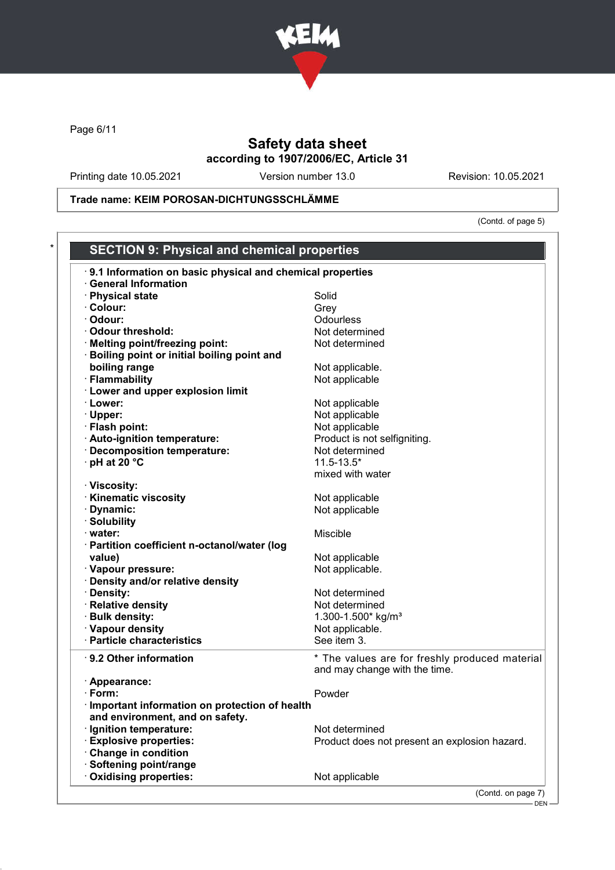

Page 6/11

# Safety data sheet according to 1907/2006/EC, Article 31

Printing date 10.05.2021 Version number 13.0 Revision: 10.05.2021

Trade name: KEIM POROSAN-DICHTUNGSSCHLÄMME

(Contd. of page 5)

| <b>SECTION 9: Physical and chemical properties</b>        |                                                                                 |
|-----------------------------------------------------------|---------------------------------------------------------------------------------|
| 9.1 Information on basic physical and chemical properties |                                                                                 |
| <b>General Information</b>                                |                                                                                 |
| · Physical state                                          | Solid                                                                           |
| · Colour:                                                 | Grey                                                                            |
| · Odour:                                                  | Odourless                                                                       |
| Odour threshold:                                          | Not determined                                                                  |
| · Melting point/freezing point:                           | Not determined                                                                  |
| Boiling point or initial boiling point and                |                                                                                 |
| boiling range                                             | Not applicable.                                                                 |
| · Flammability                                            | Not applicable                                                                  |
| · Lower and upper explosion limit                         |                                                                                 |
| · Lower:                                                  | Not applicable                                                                  |
| · Upper:                                                  | Not applicable                                                                  |
| · Flash point:                                            | Not applicable                                                                  |
| · Auto-ignition temperature:                              | Product is not selfigniting.                                                    |
| · Decomposition temperature:                              | Not determined                                                                  |
| $\cdot$ pH at 20 $\degree$ C                              | $11.5 - 13.5*$                                                                  |
|                                                           | mixed with water                                                                |
| · Viscosity:                                              |                                                                                 |
| <b>Kinematic viscosity</b>                                | Not applicable                                                                  |
| · Dynamic:                                                | Not applicable                                                                  |
| · Solubility                                              |                                                                                 |
| $\cdot$ water:                                            | Miscible                                                                        |
| · Partition coefficient n-octanol/water (log              |                                                                                 |
| value)                                                    | Not applicable                                                                  |
| · Vapour pressure:                                        | Not applicable.                                                                 |
| · Density and/or relative density                         |                                                                                 |
| · Density:                                                | Not determined                                                                  |
| · Relative density                                        | Not determined                                                                  |
| · Bulk density:                                           | 1.300-1.500* kg/m <sup>3</sup>                                                  |
| · Vapour density                                          | Not applicable.                                                                 |
| · Particle characteristics                                | See item 3.                                                                     |
|                                                           |                                                                                 |
| ⋅ 9.2 Other information                                   | * The values are for freshly produced material<br>and may change with the time. |
|                                                           |                                                                                 |
| · Appearance:<br>· Form:                                  | Powder                                                                          |
|                                                           |                                                                                 |
| Important information on protection of health             |                                                                                 |
| and environment, and on safety.                           |                                                                                 |
| · Ignition temperature:                                   | Not determined                                                                  |
| <b>Explosive properties:</b>                              | Product does not present an explosion hazard.                                   |
| Change in condition                                       |                                                                                 |
| Softening point/range                                     |                                                                                 |
| Oxidising properties:                                     | Not applicable                                                                  |

(Contd. on page 7)

<sup>.&</sup>lt;br>- DEN -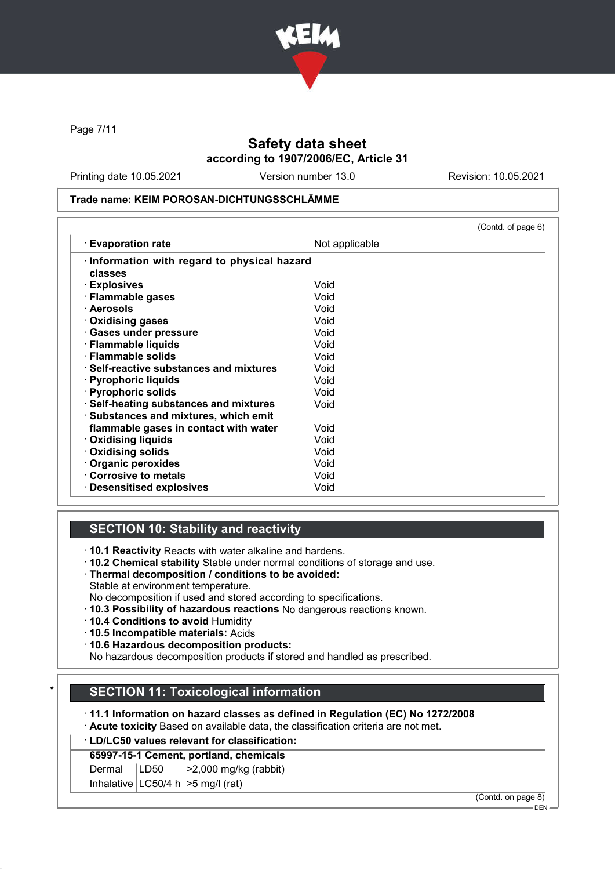

Page 7/11

## Safety data sheet according to 1907/2006/EC, Article 31

Printing date 10.05.2021 Version number 13.0 Revision: 10.05.2021

#### Trade name: KEIM POROSAN-DICHTUNGSSCHLÄMME

|                                                |                | (Contd. of page 6) |
|------------------------------------------------|----------------|--------------------|
| <b>Evaporation rate</b>                        | Not applicable |                    |
| Information with regard to physical hazard     |                |                    |
| classes                                        |                |                    |
| · Explosives                                   | Void           |                    |
| · Flammable gases                              | Void           |                    |
| · Aerosols                                     | Void           |                    |
| Oxidising gases                                | Void           |                    |
| · Gases under pressure                         | Void           |                    |
| · Flammable liquids                            | Void           |                    |
| · Flammable solids                             | Void           |                    |
| $\cdot$ Self-reactive substances and mixtures. | Void           |                    |
| · Pyrophoric liquids                           | Void           |                    |
| · Pyrophoric solids                            | Void           |                    |
| · Self-heating substances and mixtures         | Void           |                    |
| · Substances and mixtures, which emit          |                |                    |
| flammable gases in contact with water          | Void           |                    |
| · Oxidising liquids                            | Void           |                    |
| · Oxidising solids                             | Void           |                    |
| Organic peroxides                              | Void           |                    |
| Corrosive to metals                            | Void           |                    |
| <b>Desensitised explosives</b>                 | Void           |                    |

## SECTION 10: Stability and reactivity

· 10.1 Reactivity Reacts with water alkaline and hardens.

- · 10.2 Chemical stability Stable under normal conditions of storage and use.
- · Thermal decomposition / conditions to be avoided:

Stable at environment temperature.

No decomposition if used and stored according to specifications.

- · 10.3 Possibility of hazardous reactions No dangerous reactions known.
- · 10.4 Conditions to avoid Humidity
- · 10.5 Incompatible materials: Acids
- · 10.6 Hazardous decomposition products:

No hazardous decomposition products if stored and handled as prescribed.

## **SECTION 11: Toxicological information**

· 11.1 Information on hazard classes as defined in Regulation (EC) No 1272/2008

· Acute toxicity Based on available data, the classification criteria are not met.

# · LD/LC50 values relevant for classification:

Dermal LD50 >2,000 mg/kg (rabbit)

Inhalative  $|LOG0/4 h| > 5 mg/l$  (rat)

(Contd. on page 8)

 $-$  DEN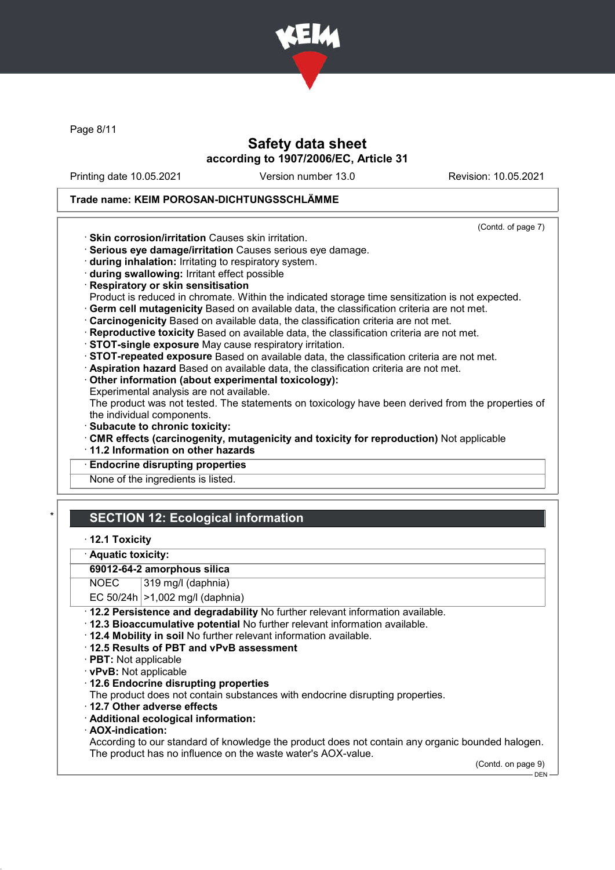

Page 8/11

## Safety data sheet according to 1907/2006/EC, Article 31

Printing date 10.05.2021 Version number 13.0 Revision: 10.05.2021

(Contd. of page 7)

### Trade name: KEIM POROSAN-DICHTUNGSSCHLÄMME

· Skin corrosion/irritation Causes skin irritation.

· Serious eye damage/irritation Causes serious eye damage.

- · during inhalation: Irritating to respiratory system.
- · during swallowing: Irritant effect possible
- · Respiratory or skin sensitisation

Product is reduced in chromate. Within the indicated storage time sensitization is not expected.

- · Germ cell mutagenicity Based on available data, the classification criteria are not met.
- · Carcinogenicity Based on available data, the classification criteria are not met.
- · Reproductive toxicity Based on available data, the classification criteria are not met.
- · STOT-single exposure May cause respiratory irritation.
- · STOT-repeated exposure Based on available data, the classification criteria are not met.
- · Aspiration hazard Based on available data, the classification criteria are not met.
- · Other information (about experimental toxicology):
- Experimental analysis are not available.

The product was not tested. The statements on toxicology have been derived from the properties of the individual components.

- · Subacute to chronic toxicity:
- · CMR effects (carcinogenity, mutagenicity and toxicity for reproduction) Not applicable
- · 11.2 Information on other hazards
- **Endocrine disrupting properties**

None of the ingredients is listed.

# **SECTION 12: Ecological information**

### · 12.1 Toxicity

· Aquatic toxicity:

### 69012-64-2 amorphous silica

NOEC 319 mg/l (daphnia)

EC  $50/24h$   $>1,002$  mg/l (daphnia)

- · 12.2 Persistence and degradability No further relevant information available.
- · 12.3 Bioaccumulative potential No further relevant information available.
- · 12.4 Mobility in soil No further relevant information available.
- · 12.5 Results of PBT and vPvB assessment
- · PBT: Not applicable
- · vPvB: Not applicable
- · 12.6 Endocrine disrupting properties

The product does not contain substances with endocrine disrupting properties.

- · 12.7 Other adverse effects
- · Additional ecological information:
- · AOX-indication:

According to our standard of knowledge the product does not contain any organic bounded halogen. The product has no influence on the waste water's AOX-value.

> (Contd. on page 9) DEN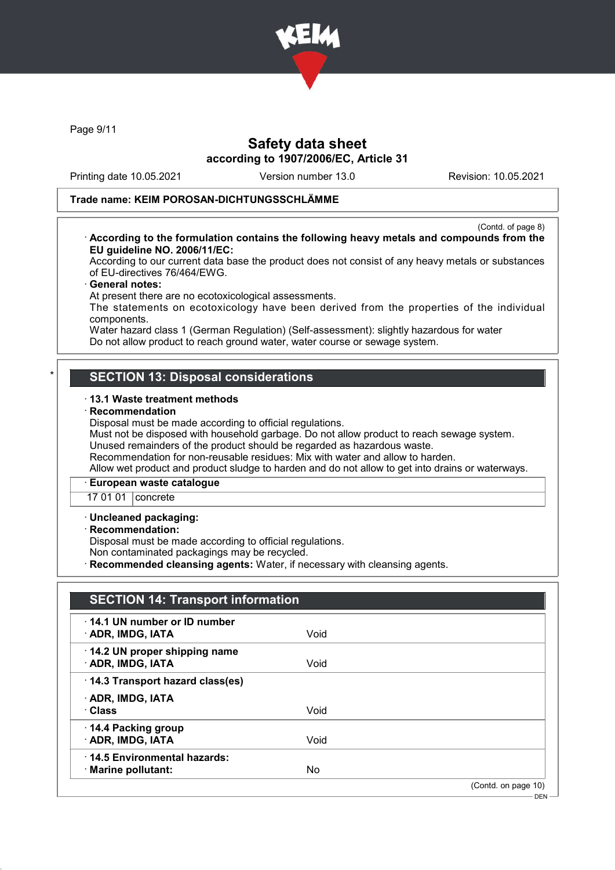

Page 9/11

### Safety data sheet according to 1907/2006/EC, Article 31

Printing date 10.05.2021 Version number 13.0 Revision: 10.05.2021

### Trade name: KEIM POROSAN-DICHTUNGSSCHLÄMME

(Contd. of page 8) · According to the formulation contains the following heavy metals and compounds from the EU guideline NO. 2006/11/EC:

According to our current data base the product does not consist of any heavy metals or substances of EU-directives 76/464/EWG.

#### General notes:

At present there are no ecotoxicological assessments.

The statements on ecotoxicology have been derived from the properties of the individual components.

Water hazard class 1 (German Regulation) (Self-assessment): slightly hazardous for water Do not allow product to reach ground water, water course or sewage system.

### **SECTION 13: Disposal considerations**

#### · 13.1 Waste treatment methods

#### **Recommendation**

Disposal must be made according to official regulations.

Must not be disposed with household garbage. Do not allow product to reach sewage system. Unused remainders of the product should be regarded as hazardous waste.

Recommendation for non-reusable residues: Mix with water and allow to harden.

Allow wet product and product sludge to harden and do not allow to get into drains or waterways.

#### · European waste catalogue

17 01 01 concrete

#### · Uncleaned packaging:

#### · Recommendation:

Disposal must be made according to official regulations.

Non contaminated packagings may be recycled.

· Recommended cleansing agents: Water, if necessary with cleansing agents.

| <b>SECTION 14: Transport information</b>                 |      |                                    |
|----------------------------------------------------------|------|------------------------------------|
| $\cdot$ 14.1 UN number or ID number<br>· ADR, IMDG, IATA | Void |                                    |
| 14.2 UN proper shipping name<br>· ADR, IMDG, IATA        | Void |                                    |
| 14.3 Transport hazard class(es)                          |      |                                    |
| · ADR, IMDG, IATA<br>· Class                             | Void |                                    |
| 14.4 Packing group<br>· ADR, IMDG, IATA                  | Void |                                    |
| 14.5 Environmental hazards:<br>· Marine pollutant:       | No   |                                    |
|                                                          |      | (Contd. on page 10)<br>$-$ DFN $-$ |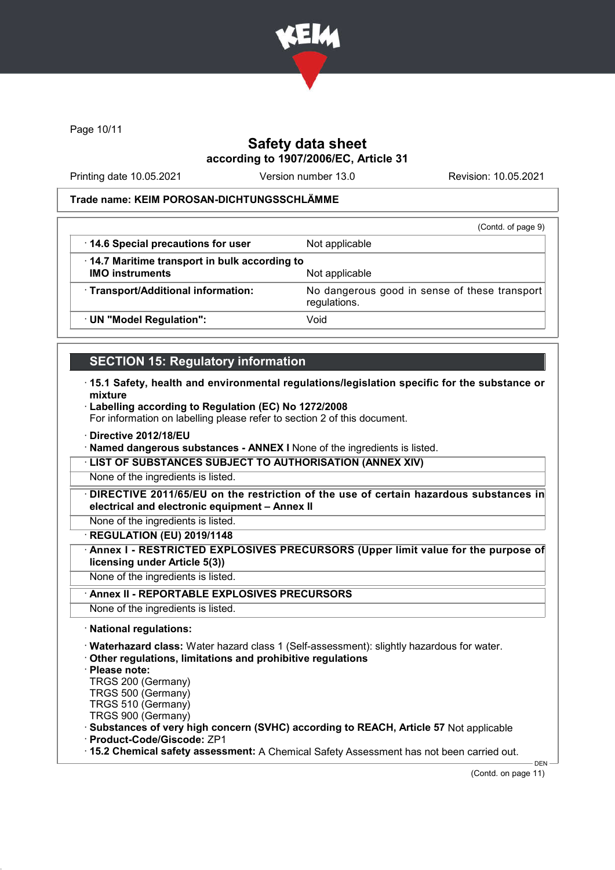

Page 10/11

### Safety data sheet according to 1907/2006/EC, Article 31

Printing date 10.05.2021 Version number 13.0 Revision: 10.05.2021

### Trade name: KEIM POROSAN-DICHTUNGSSCHLÄMME

|                                                                        | (Contd. of page 9)                            |
|------------------------------------------------------------------------|-----------------------------------------------|
| 14.6 Special precautions for user                                      | Not applicable                                |
| 14.7 Maritime transport in bulk according to<br><b>IMO instruments</b> | Not applicable                                |
| · Transport/Additional information:                                    | No dangerous good in sense of these transport |
|                                                                        | regulations.                                  |
| · UN "Model Regulation":                                               | Void                                          |

## SECTION 15: Regulatory information

- · 15.1 Safety, health and environmental regulations/legislation specific for the substance or mixture
- · Labelling according to Regulation (EC) No 1272/2008

For information on labelling please refer to section 2 of this document.

- · Directive 2012/18/EU
- · Named dangerous substances ANNEX I None of the ingredients is listed.

· LIST OF SUBSTANCES SUBJECT TO AUTHORISATION (ANNEX XIV)

None of the ingredients is listed.

DIRECTIVE 2011/65/EU on the restriction of the use of certain hazardous substances in electrical and electronic equipment – Annex II

None of the ingredients is listed.

· REGULATION (EU) 2019/1148

· Annex I - RESTRICTED EXPLOSIVES PRECURSORS (Upper limit value for the purpose of licensing under Article 5(3))

None of the ingredients is listed.

· Annex II - REPORTABLE EXPLOSIVES PRECURSORS

None of the ingredients is listed.

· National regulations:

· Waterhazard class: Water hazard class 1 (Self-assessment): slightly hazardous for water.

- · Other regulations, limitations and prohibitive regulations
- · Please note:

TRGS 200 (Germany)

TRGS 500 (Germany)

TRGS 510 (Germany) TRGS 900 (Germany)

· Substances of very high concern (SVHC) according to REACH, Article 57 Not applicable

· Product-Code/Giscode: ZP1

· 15.2 Chemical safety assessment: A Chemical Safety Assessment has not been carried out.

(Contd. on page 11)

DEN